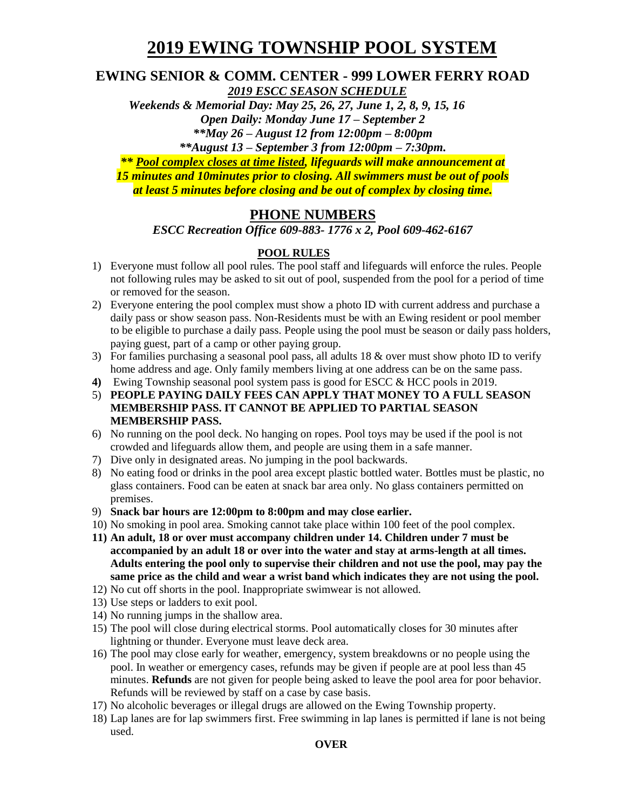# **2019 EWING TOWNSHIP POOL SYSTEM**

#### **EWING SENIOR & COMM. CENTER - 999 LOWER FERRY ROAD**  *2019 ESCC SEASON SCHEDULE*

 *Weekends & Memorial Day: May 25, 26, 27, June 1, 2, 8, 9, 15, 16 Open Daily: Monday June 17 – September 2 \*\*May 26 – August 12 from 12:00pm – 8:00pm*

*\*\*August 13 – September 3 from 12:00pm – 7:30pm.*

*\*\* Pool complex closes at time listed, lifeguards will make announcement at 15 minutes and 10minutes prior to closing. All swimmers must be out of pools at least 5 minutes before closing and be out of complex by closing time.*

### **PHONE NUMBERS**

*ESCC Recreation Office 609-883- 1776 x 2, Pool 609-462-6167*

#### **POOL RULES**

- 1) Everyone must follow all pool rules. The pool staff and lifeguards will enforce the rules. People not following rules may be asked to sit out of pool, suspended from the pool for a period of time or removed for the season.
- 2) Everyone entering the pool complex must show a photo ID with current address and purchase a daily pass or show season pass. Non-Residents must be with an Ewing resident or pool member to be eligible to purchase a daily pass. People using the pool must be season or daily pass holders, paying guest, part of a camp or other paying group.
- 3) For families purchasing a seasonal pool pass, all adults 18 & over must show photo ID to verify home address and age. Only family members living at one address can be on the same pass.
- **4)** Ewing Township seasonal pool system pass is good for ESCC & HCC pools in 2019.
- 5) **PEOPLE PAYING DAILY FEES CAN APPLY THAT MONEY TO A FULL SEASON MEMBERSHIP PASS. IT CANNOT BE APPLIED TO PARTIAL SEASON MEMBERSHIP PASS.**
- 6) No running on the pool deck. No hanging on ropes. Pool toys may be used if the pool is not crowded and lifeguards allow them, and people are using them in a safe manner.
- 7) Dive only in designated areas. No jumping in the pool backwards.
- 8) No eating food or drinks in the pool area except plastic bottled water. Bottles must be plastic, no glass containers. Food can be eaten at snack bar area only. No glass containers permitted on premises.
- 9) **Snack bar hours are 12:00pm to 8:00pm and may close earlier.**
- 10) No smoking in pool area. Smoking cannot take place within 100 feet of the pool complex.
- **11) An adult, 18 or over must accompany children under 14. Children under 7 must be accompanied by an adult 18 or over into the water and stay at arms-length at all times. Adults entering the pool only to supervise their children and not use the pool, may pay the same price as the child and wear a wrist band which indicates they are not using the pool.**
- 12) No cut off shorts in the pool. Inappropriate swimwear is not allowed.
- 13) Use steps or ladders to exit pool.
- 14) No running jumps in the shallow area.
- 15) The pool will close during electrical storms. Pool automatically closes for 30 minutes after lightning or thunder. Everyone must leave deck area.
- 16) The pool may close early for weather, emergency, system breakdowns or no people using the pool. In weather or emergency cases, refunds may be given if people are at pool less than 45 minutes. **Refunds** are not given for people being asked to leave the pool area for poor behavior. Refunds will be reviewed by staff on a case by case basis.
- 17) No alcoholic beverages or illegal drugs are allowed on the Ewing Township property.
- 18) Lap lanes are for lap swimmers first. Free swimming in lap lanes is permitted if lane is not being used.